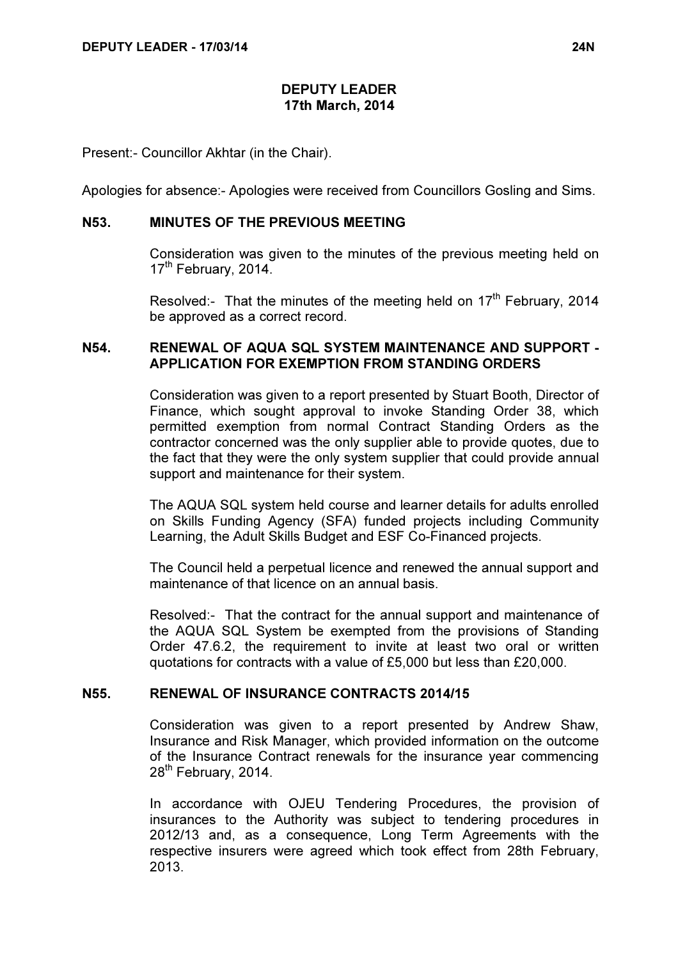# DEPUTY LEADER 17th March, 2014

Present:- Councillor Akhtar (in the Chair).

Apologies for absence:- Apologies were received from Councillors Gosling and Sims.

#### N53. MINUTES OF THE PREVIOUS MEETING

 Consideration was given to the minutes of the previous meeting held on 17<sup>th</sup> February, 2014.

Resolved:- That the minutes of the meeting held on  $17<sup>th</sup>$  February, 2014 be approved as a correct record.

# N54. RENEWAL OF AQUA SQL SYSTEM MAINTENANCE AND SUPPORT - APPLICATION FOR EXEMPTION FROM STANDING ORDERS

 Consideration was given to a report presented by Stuart Booth, Director of Finance, which sought approval to invoke Standing Order 38, which permitted exemption from normal Contract Standing Orders as the contractor concerned was the only supplier able to provide quotes, due to the fact that they were the only system supplier that could provide annual support and maintenance for their system.

The AQUA SQL system held course and learner details for adults enrolled on Skills Funding Agency (SFA) funded projects including Community Learning, the Adult Skills Budget and ESF Co-Financed projects.

The Council held a perpetual licence and renewed the annual support and maintenance of that licence on an annual basis.

Resolved:- That the contract for the annual support and maintenance of the AQUA SQL System be exempted from the provisions of Standing Order 47.6.2, the requirement to invite at least two oral or written quotations for contracts with a value of £5,000 but less than £20,000.

## N55. RENEWAL OF INSURANCE CONTRACTS 2014/15

 Consideration was given to a report presented by Andrew Shaw, Insurance and Risk Manager, which provided information on the outcome of the Insurance Contract renewals for the insurance year commencing 28<sup>th</sup> February, 2014.

In accordance with OJEU Tendering Procedures, the provision of insurances to the Authority was subject to tendering procedures in 2012/13 and, as a consequence, Long Term Agreements with the respective insurers were agreed which took effect from 28th February, 2013.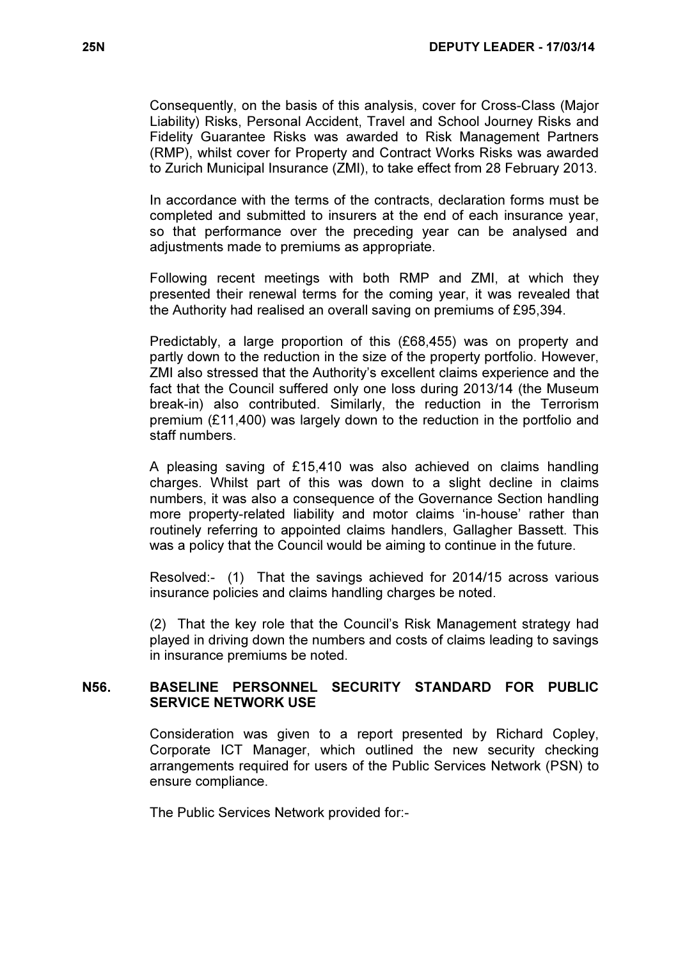Consequently, on the basis of this analysis, cover for Cross-Class (Major Liability) Risks, Personal Accident, Travel and School Journey Risks and Fidelity Guarantee Risks was awarded to Risk Management Partners (RMP), whilst cover for Property and Contract Works Risks was awarded to Zurich Municipal Insurance (ZMI), to take effect from 28 February 2013.

In accordance with the terms of the contracts, declaration forms must be completed and submitted to insurers at the end of each insurance year, so that performance over the preceding year can be analysed and adjustments made to premiums as appropriate.

Following recent meetings with both RMP and ZMI, at which they presented their renewal terms for the coming year, it was revealed that the Authority had realised an overall saving on premiums of £95,394.

Predictably, a large proportion of this (£68,455) was on property and partly down to the reduction in the size of the property portfolio. However, ZMI also stressed that the Authority's excellent claims experience and the fact that the Council suffered only one loss during 2013/14 (the Museum break-in) also contributed. Similarly, the reduction in the Terrorism premium (£11,400) was largely down to the reduction in the portfolio and staff numbers.

A pleasing saving of £15,410 was also achieved on claims handling charges. Whilst part of this was down to a slight decline in claims numbers, it was also a consequence of the Governance Section handling more property-related liability and motor claims 'in-house' rather than routinely referring to appointed claims handlers, Gallagher Bassett. This was a policy that the Council would be aiming to continue in the future.

Resolved:- (1) That the savings achieved for 2014/15 across various insurance policies and claims handling charges be noted.

(2) That the key role that the Council's Risk Management strategy had played in driving down the numbers and costs of claims leading to savings in insurance premiums be noted.

# N56. BASELINE PERSONNEL SECURITY STANDARD FOR PUBLIC SERVICE NETWORK USE

 Consideration was given to a report presented by Richard Copley, Corporate ICT Manager, which outlined the new security checking arrangements required for users of the Public Services Network (PSN) to ensure compliance.

The Public Services Network provided for:-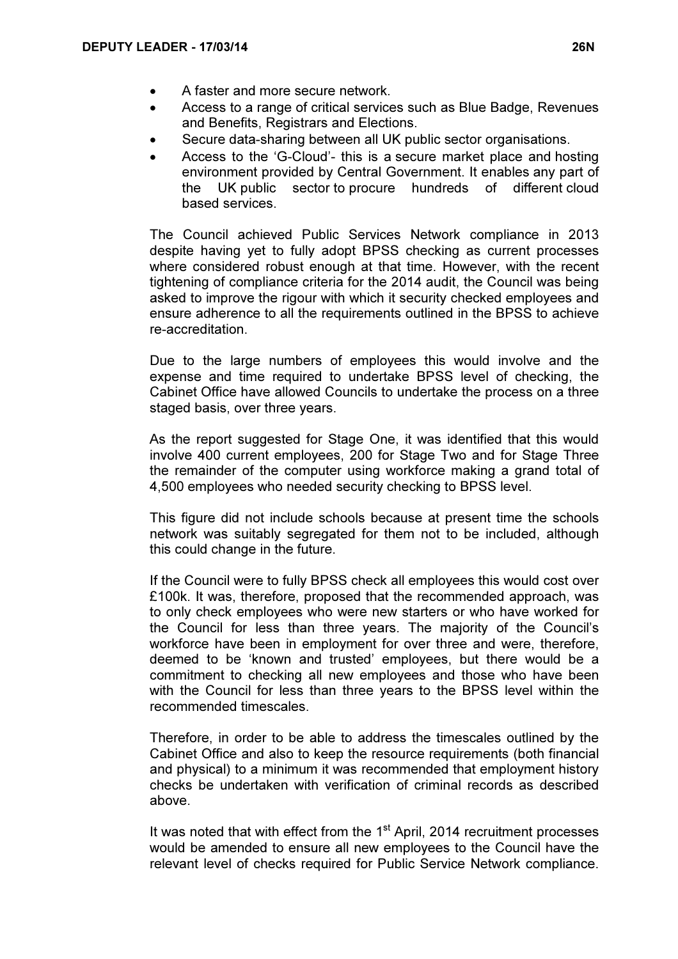- A faster and more secure network.
- Access to a range of critical services such as Blue Badge, Revenues and Benefits, Registrars and Elections.
- Secure data-sharing between all UK public sector organisations.
- Access to the 'G-Cloud'- this is a secure market place and hosting environment provided by Central Government. It enables any part of the UK public sector to procure hundreds of different cloud based services.

The Council achieved Public Services Network compliance in 2013 despite having yet to fully adopt BPSS checking as current processes where considered robust enough at that time. However, with the recent tightening of compliance criteria for the 2014 audit, the Council was being asked to improve the rigour with which it security checked employees and ensure adherence to all the requirements outlined in the BPSS to achieve re-accreditation.

Due to the large numbers of employees this would involve and the expense and time required to undertake BPSS level of checking, the Cabinet Office have allowed Councils to undertake the process on a three staged basis, over three years.

As the report suggested for Stage One, it was identified that this would involve 400 current employees, 200 for Stage Two and for Stage Three the remainder of the computer using workforce making a grand total of 4,500 employees who needed security checking to BPSS level.

This figure did not include schools because at present time the schools network was suitably segregated for them not to be included, although this could change in the future.

If the Council were to fully BPSS check all employees this would cost over £100k. It was, therefore, proposed that the recommended approach, was to only check employees who were new starters or who have worked for the Council for less than three years. The majority of the Council's workforce have been in employment for over three and were, therefore, deemed to be 'known and trusted' employees, but there would be a commitment to checking all new employees and those who have been with the Council for less than three years to the BPSS level within the recommended timescales.

Therefore, in order to be able to address the timescales outlined by the Cabinet Office and also to keep the resource requirements (both financial and physical) to a minimum it was recommended that employment history checks be undertaken with verification of criminal records as described above.

It was noted that with effect from the  $1<sup>st</sup>$  April, 2014 recruitment processes would be amended to ensure all new employees to the Council have the relevant level of checks required for Public Service Network compliance.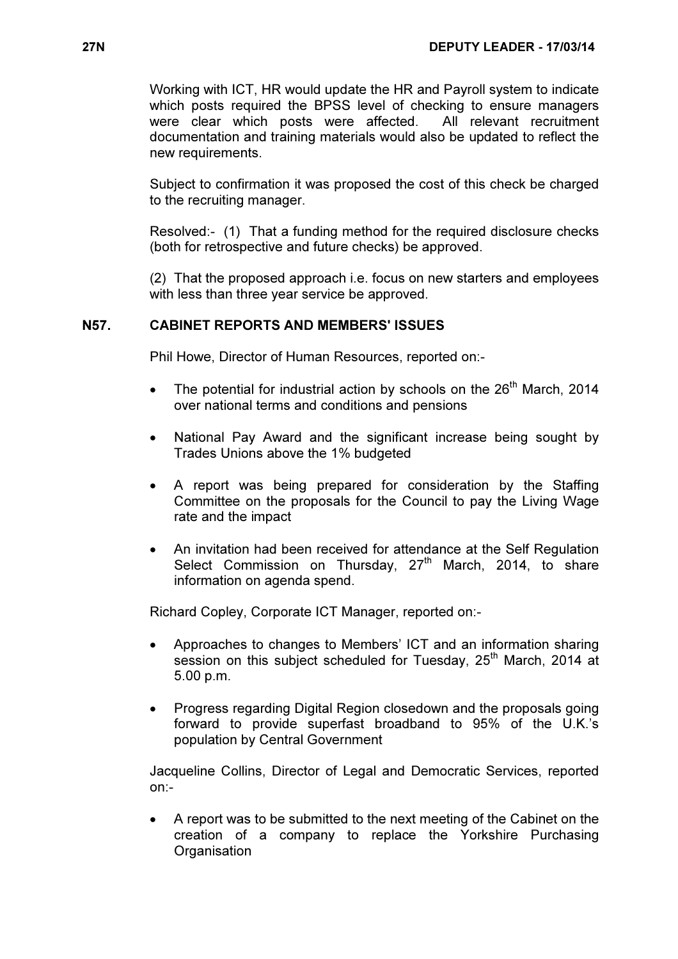Working with ICT, HR would update the HR and Payroll system to indicate which posts required the BPSS level of checking to ensure managers were clear which posts were affected. All relevant recruitment documentation and training materials would also be updated to reflect the new requirements.

Subject to confirmation it was proposed the cost of this check be charged to the recruiting manager.

Resolved:- (1) That a funding method for the required disclosure checks (both for retrospective and future checks) be approved.

(2) That the proposed approach i.e. focus on new starters and employees with less than three year service be approved.

# N57. CABINET REPORTS AND MEMBERS' ISSUES

Phil Howe, Director of Human Resources, reported on:-

- The potential for industrial action by schools on the  $26<sup>th</sup>$  March, 2014 over national terms and conditions and pensions
- National Pay Award and the significant increase being sought by Trades Unions above the 1% budgeted
- A report was being prepared for consideration by the Staffing Committee on the proposals for the Council to pay the Living Wage rate and the impact
- An invitation had been received for attendance at the Self Regulation Select Commission on Thursday, 27<sup>th</sup> March, 2014, to share information on agenda spend.

Richard Copley, Corporate ICT Manager, reported on:-

- Approaches to changes to Members' ICT and an information sharing session on this subject scheduled for Tuesday, 25<sup>th</sup> March, 2014 at 5.00 p.m.
- Progress regarding Digital Region closedown and the proposals going forward to provide superfast broadband to 95% of the U.K.'s population by Central Government

Jacqueline Collins, Director of Legal and Democratic Services, reported on:-

• A report was to be submitted to the next meeting of the Cabinet on the creation of a company to replace the Yorkshire Purchasing **Organisation**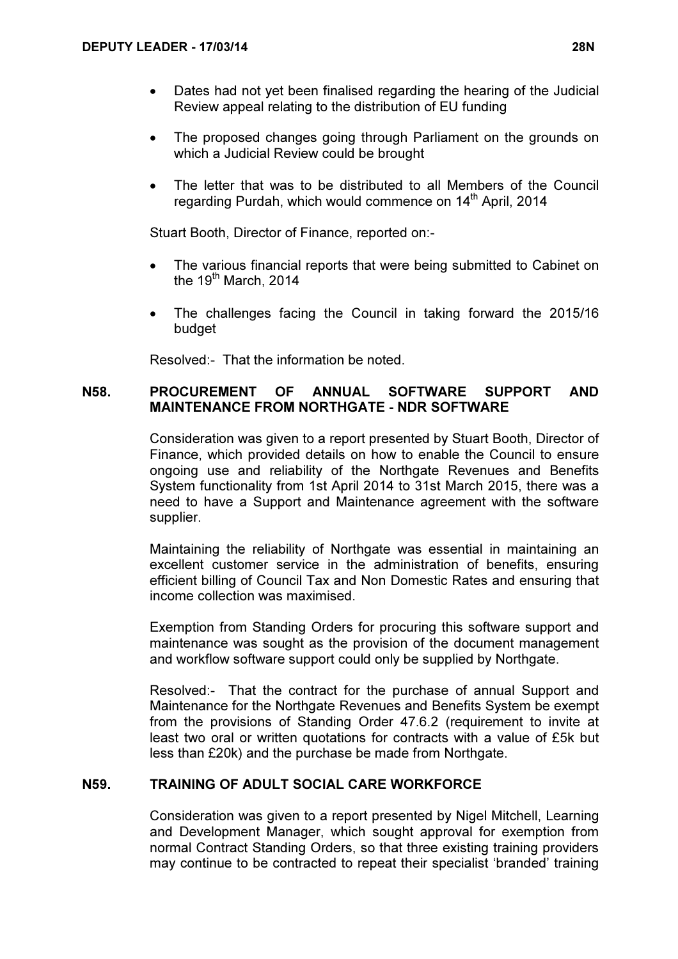- Dates had not yet been finalised regarding the hearing of the Judicial Review appeal relating to the distribution of EU funding
- The proposed changes going through Parliament on the grounds on which a Judicial Review could be brought
- The letter that was to be distributed to all Members of the Council regarding Purdah, which would commence on 14<sup>th</sup> April, 2014

Stuart Booth, Director of Finance, reported on:-

- The various financial reports that were being submitted to Cabinet on the  $19<sup>th</sup>$  March, 2014
- The challenges facing the Council in taking forward the 2015/16 budget

Resolved:- That the information be noted.

# N58. PROCUREMENT OF ANNUAL SOFTWARE SUPPORT AND MAINTENANCE FROM NORTHGATE - NDR SOFTWARE

 Consideration was given to a report presented by Stuart Booth, Director of Finance, which provided details on how to enable the Council to ensure ongoing use and reliability of the Northgate Revenues and Benefits System functionality from 1st April 2014 to 31st March 2015, there was a need to have a Support and Maintenance agreement with the software supplier.

Maintaining the reliability of Northgate was essential in maintaining an excellent customer service in the administration of benefits, ensuring efficient billing of Council Tax and Non Domestic Rates and ensuring that income collection was maximised.

Exemption from Standing Orders for procuring this software support and maintenance was sought as the provision of the document management and workflow software support could only be supplied by Northgate.

Resolved:- That the contract for the purchase of annual Support and Maintenance for the Northgate Revenues and Benefits System be exempt from the provisions of Standing Order 47.6.2 (requirement to invite at least two oral or written quotations for contracts with a value of £5k but less than £20k) and the purchase be made from Northgate.

#### N59. TRAINING OF ADULT SOCIAL CARE WORKFORCE

 Consideration was given to a report presented by Nigel Mitchell, Learning and Development Manager, which sought approval for exemption from normal Contract Standing Orders, so that three existing training providers may continue to be contracted to repeat their specialist 'branded' training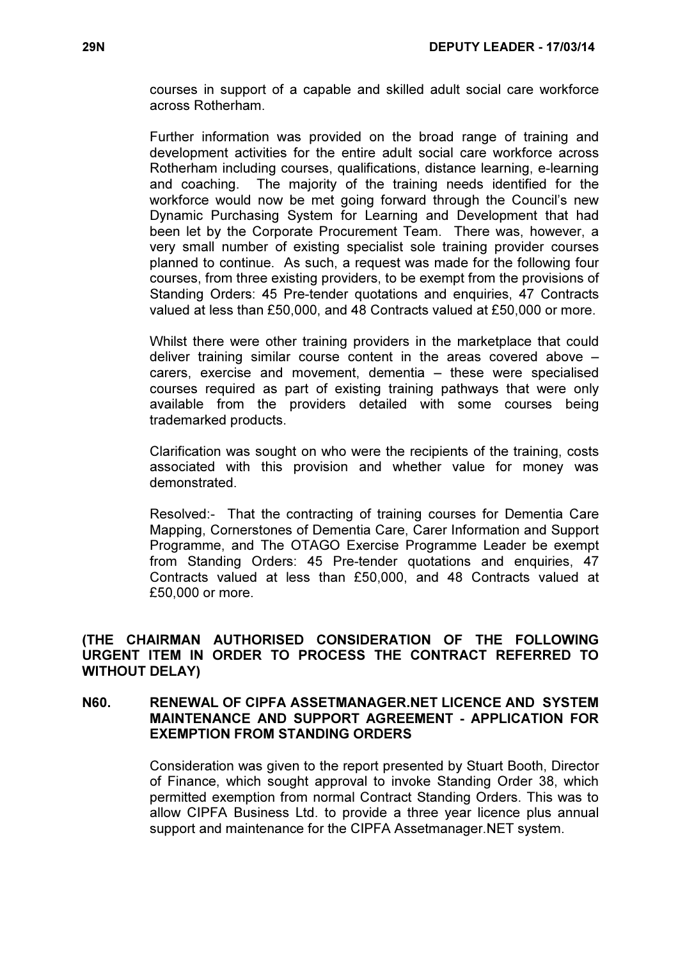courses in support of a capable and skilled adult social care workforce across Rotherham.

Further information was provided on the broad range of training and development activities for the entire adult social care workforce across Rotherham including courses, qualifications, distance learning, e-learning and coaching. The majority of the training needs identified for the workforce would now be met going forward through the Council's new Dynamic Purchasing System for Learning and Development that had been let by the Corporate Procurement Team. There was, however, a very small number of existing specialist sole training provider courses planned to continue. As such, a request was made for the following four courses, from three existing providers, to be exempt from the provisions of Standing Orders: 45 Pre-tender quotations and enquiries, 47 Contracts valued at less than £50,000, and 48 Contracts valued at £50,000 or more.

Whilst there were other training providers in the marketplace that could deliver training similar course content in the areas covered above – carers, exercise and movement, dementia – these were specialised courses required as part of existing training pathways that were only available from the providers detailed with some courses being trademarked products.

Clarification was sought on who were the recipients of the training, costs associated with this provision and whether value for money was demonstrated.

Resolved:- That the contracting of training courses for Dementia Care Mapping, Cornerstones of Dementia Care, Carer Information and Support Programme, and The OTAGO Exercise Programme Leader be exempt from Standing Orders: 45 Pre-tender quotations and enquiries, 47 Contracts valued at less than £50,000, and 48 Contracts valued at £50,000 or more.

(THE CHAIRMAN AUTHORISED CONSIDERATION OF THE FOLLOWING URGENT ITEM IN ORDER TO PROCESS THE CONTRACT REFERRED TO WITHOUT DELAY)

## N60. RENEWAL OF CIPFA ASSETMANAGER.NET LICENCE AND SYSTEM MAINTENANCE AND SUPPORT AGREEMENT - APPLICATION FOR EXEMPTION FROM STANDING ORDERS

 Consideration was given to the report presented by Stuart Booth, Director of Finance, which sought approval to invoke Standing Order 38, which permitted exemption from normal Contract Standing Orders. This was to allow CIPFA Business Ltd. to provide a three year licence plus annual support and maintenance for the CIPFA Assetmanager.NET system.